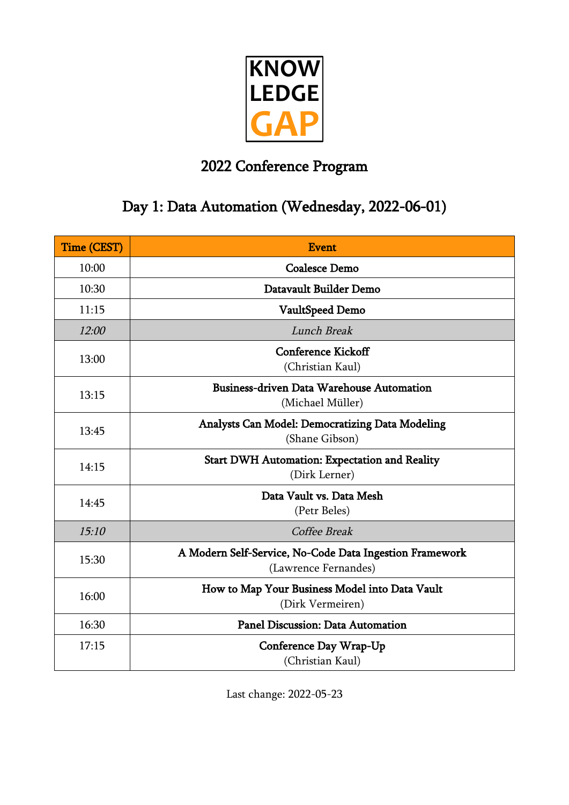

## 2022 Conference Program

### Day 1: Data Automation (Wednesday, 2022-06-01)

| <b>Time (CEST)</b> | <b>Event</b>                                                                    |
|--------------------|---------------------------------------------------------------------------------|
| 10:00              | <b>Coalesce Demo</b>                                                            |
| 10:30              | Datavault Builder Demo                                                          |
| 11:15              | VaultSpeed Demo                                                                 |
| 12:00              | Lunch Break                                                                     |
| 13:00              | <b>Conference Kickoff</b><br>(Christian Kaul)                                   |
| 13:15              | <b>Business-driven Data Warehouse Automation</b><br>(Michael Müller)            |
| 13:45              | <b>Analysts Can Model: Democratizing Data Modeling</b><br>(Shane Gibson)        |
| 14:15              | <b>Start DWH Automation: Expectation and Reality</b><br>(Dirk Lerner)           |
| 14:45              | Data Vault vs. Data Mesh<br>(Petr Beles)                                        |
| 15:10              | Coffee Break                                                                    |
| 15:30              | A Modern Self-Service, No-Code Data Ingestion Framework<br>(Lawrence Fernandes) |
| 16:00              | How to Map Your Business Model into Data Vault<br>(Dirk Vermeiren)              |
| 16:30              | <b>Panel Discussion: Data Automation</b>                                        |
| 17:15              | Conference Day Wrap-Up<br>(Christian Kaul)                                      |

Last change: 2022-05-23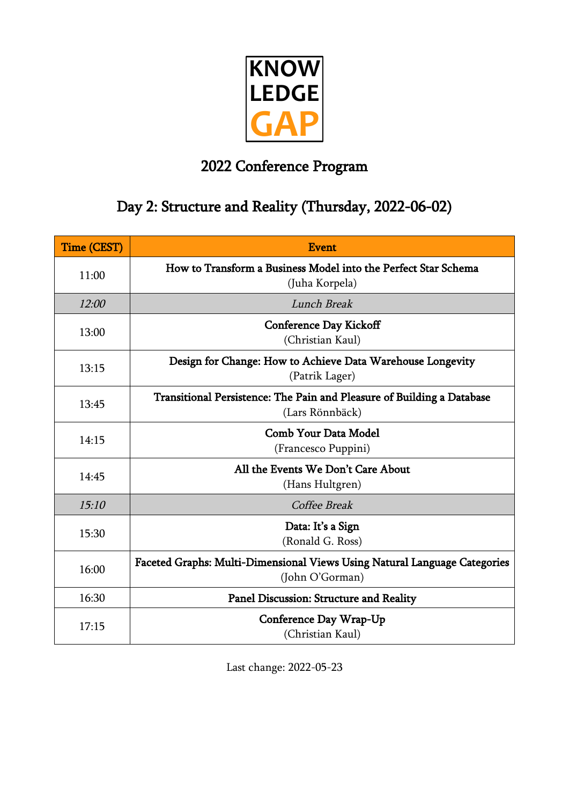

### 2022 Conference Program

### Day 2: Structure and Reality (Thursday, 2022-06-02)

| <b>Time (CEST)</b> | Event                                                                                        |
|--------------------|----------------------------------------------------------------------------------------------|
| 11:00              | How to Transform a Business Model into the Perfect Star Schema<br>(Juha Korpela)             |
| 12:00              | Lunch Break                                                                                  |
| 13:00              | <b>Conference Day Kickoff</b><br>(Christian Kaul)                                            |
| 13:15              | Design for Change: How to Achieve Data Warehouse Longevity<br>(Patrik Lager)                 |
| 13:45              | Transitional Persistence: The Pain and Pleasure of Building a Database<br>(Lars Rönnbäck)    |
| 14:15              | <b>Comb Your Data Model</b><br>(Francesco Puppini)                                           |
| 14:45              | All the Events We Don't Care About<br>(Hans Hultgren)                                        |
| 15:10              | Coffee Break                                                                                 |
| 15:30              | Data: It's a Sign<br>(Ronald G. Ross)                                                        |
| 16:00              | Faceted Graphs: Multi-Dimensional Views Using Natural Language Categories<br>(John O'Gorman) |
| 16:30              | Panel Discussion: Structure and Reality                                                      |
| 17:15              | Conference Day Wrap-Up<br>(Christian Kaul)                                                   |

Last change: 2022-05-23